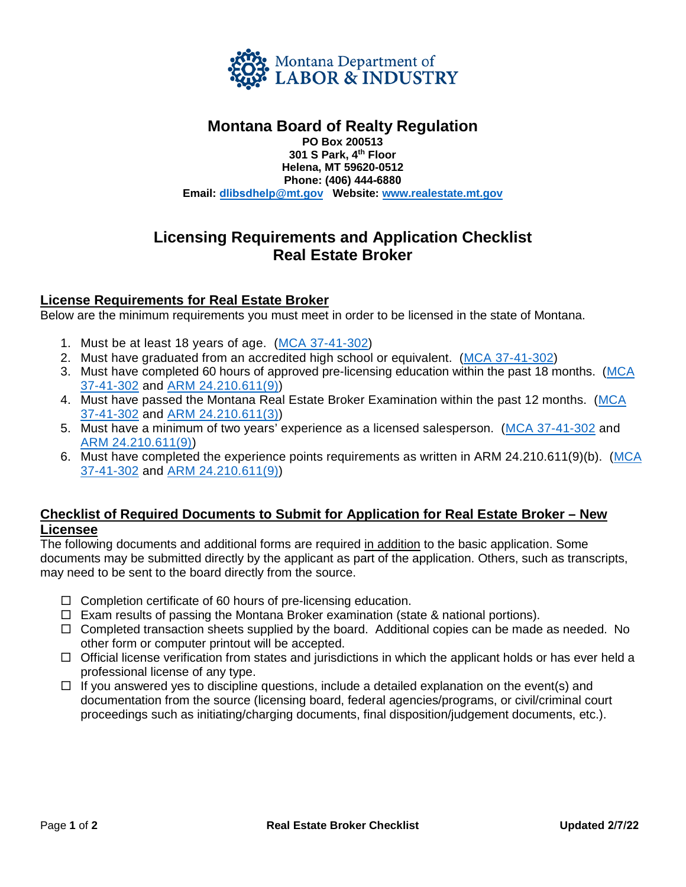

## **Montana Board of Realty Regulation**

**PO Box 200513 301 S Park, 4 th Floor Helena, MT 59620-0512 Phone: (406) 444-6880 Email: [dlibsdhelp](mailto:DLIBSDLicensingUnitB@mt.gov)@mt.gov Website: [www.realestate.mt.go](http://www.realestate.mt.gov/)v**

# **Licensing Requirements and Application Checklist Real Estate Broker**

### **License Requirements for Real Estate Broker**

Below are the minimum requirements you must meet in order to be licensed in the state of Montana.

- 1. Must be at least 18 years of age. [\(MCA 37-41-302\)](http://leg.mt.gov/bills/mca/title_0370/chapter_0510/part_0030/section_0020/0370-0510-0030-0020.html)
- 2. Must have graduated from an accredited high school or equivalent. [\(MCA 37-41-302\)](http://leg.mt.gov/bills/mca/title_0370/chapter_0510/part_0030/section_0020/0370-0510-0030-0020.html)
- 3. Must have completed 60 hours of approved pre-licensing education within the past 18 months. [\(MCA](http://leg.mt.gov/bills/mca/title_0370/chapter_0510/part_0030/section_0020/0370-0510-0030-0020.html) [37-41-302](http://leg.mt.gov/bills/mca/title_0370/chapter_0510/part_0030/section_0020/0370-0510-0030-0020.html) and [ARM 24.210.611\(9\)\)](http://www.mtrules.org/gateway/RuleNo.asp?RN=24%2E210%2E611)
- 4. Must have passed the Montana Real Estate Broker Examination within the past 12 months. [\(MCA](http://leg.mt.gov/bills/mca/title_0370/chapter_0510/part_0030/section_0020/0370-0510-0030-0020.html) [37-41-302](http://leg.mt.gov/bills/mca/title_0370/chapter_0510/part_0030/section_0020/0370-0510-0030-0020.html) and [ARM 24.210.611\(3\)\)](http://www.mtrules.org/gateway/RuleNo.asp?RN=24%2E210%2E611)
- 5. Must have a minimum of two years' experience as a licensed salesperson. [\(MCA 37-41-302](http://leg.mt.gov/bills/mca/title_0370/chapter_0510/part_0030/section_0020/0370-0510-0030-0020.html) and [ARM 24.210.611\(9\)\)](http://www.mtrules.org/gateway/RuleNo.asp?RN=24%2E210%2E611)
- 6. Must have completed the experience points requirements as written in ARM 24.210.611(9)(b). [\(MCA](http://leg.mt.gov/bills/mca/title_0370/chapter_0510/part_0030/section_0020/0370-0510-0030-0020.html) [37-41-302](http://leg.mt.gov/bills/mca/title_0370/chapter_0510/part_0030/section_0020/0370-0510-0030-0020.html) and [ARM 24.210.611\(9\)\)](http://www.mtrules.org/gateway/RuleNo.asp?RN=24%2E210%2E611)

### **Checklist of Required Documents to Submit for Application for Real Estate Broker – New Licensee**

The following documents and additional forms are required in addition to the basic application. Some documents may be submitted directly by the applicant as part of the application. Others, such as transcripts, may need to be sent to the board directly from the source.

- $\Box$  Completion certificate of 60 hours of pre-licensing education.
- $\Box$  Exam results of passing the Montana Broker examination (state & national portions).
- $\Box$  Completed transaction sheets supplied by the board. Additional copies can be made as needed. No other form or computer printout will be accepted.
- $\Box$  Official license verification from states and jurisdictions in which the applicant holds or has ever held a professional license of any type.
- $\Box$  If you answered yes to discipline questions, include a detailed explanation on the event(s) and documentation from the source (licensing board, federal agencies/programs, or civil/criminal court proceedings such as initiating/charging documents, final disposition/judgement documents, etc.).